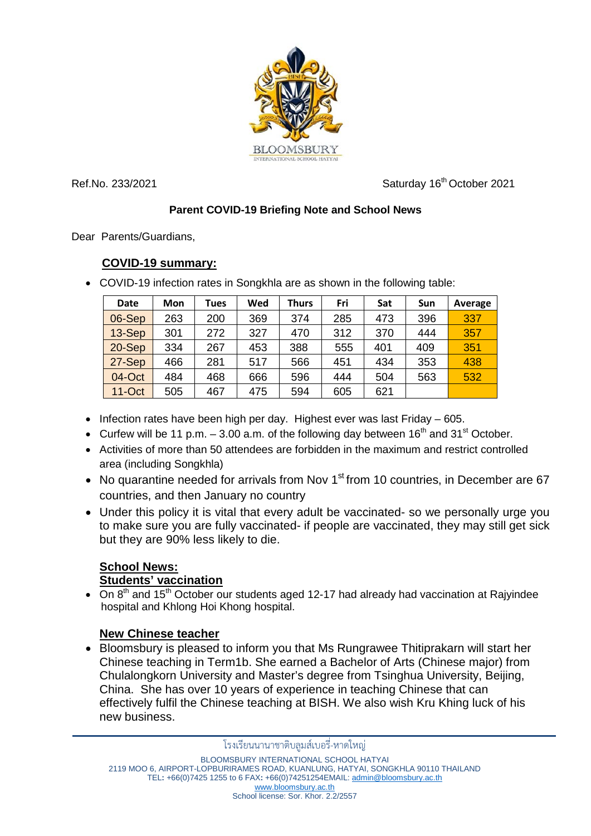

Ref.No. 233/2021 Case 2021 Saturday 16<sup>th</sup> October 2021

## **Parent COVID-19 Briefing Note and School News**

Dear Parents/Guardians,

## **COVID-19 summary:**

• COVID-19 infection rates in Songkhla are as shown in the following table:

| <b>Date</b> | Mon | Tues | Wed | <b>Thurs</b> | Fri | Sat | <b>Sun</b> | Average |
|-------------|-----|------|-----|--------------|-----|-----|------------|---------|
| 06-Sep      | 263 | 200  | 369 | 374          | 285 | 473 | 396        | 337     |
| 13-Sep      | 301 | 272  | 327 | 470          | 312 | 370 | 444        | 357     |
| $20-Sep$    | 334 | 267  | 453 | 388          | 555 | 401 | 409        | 351     |
| 27-Sep      | 466 | 281  | 517 | 566          | 451 | 434 | 353        | 438     |
| 04-Oct      | 484 | 468  | 666 | 596          | 444 | 504 | 563        | 532     |
| $11-Oct$    | 505 | 467  | 475 | 594          | 605 | 621 |            |         |

- Infection rates have been high per day. Highest ever was last Friday 605.
- Curfew will be 11 p.m.  $-3.00$  a.m. of the following day between 16<sup>th</sup> and 31<sup>st</sup> October.
- Activities of more than 50 attendees are forbidden in the maximum and restrict controlled area (including Songkhla)
- No quarantine needed for arrivals from Nov  $1<sup>st</sup>$  from 10 countries, in December are 67 countries, and then January no country
- Under this policy it is vital that every adult be vaccinated- so we personally urge you to make sure you are fully vaccinated- if people are vaccinated, they may still get sick but they are 90% less likely to die.

## **School News: Students' vaccination**

•  $\overline{On 8^{th}}$  and 15<sup>th</sup> October our students aged 12-17 had already had vaccination at Rajyindee hospital and Khlong Hoi Khong hospital.

# **New Chinese teacher**

• Bloomsbury is pleased to inform you that Ms Rungrawee Thitiprakarn will start her Chinese teaching in Term1b. She earned a Bachelor of Arts (Chinese major) from Chulalongkorn University and Master's degree from Tsinghua University, Beijing, China. She has over 10 years of experience in teaching Chinese that can effectively fulfil the Chinese teaching at BISH. We also wish Kru Khing luck of his new business.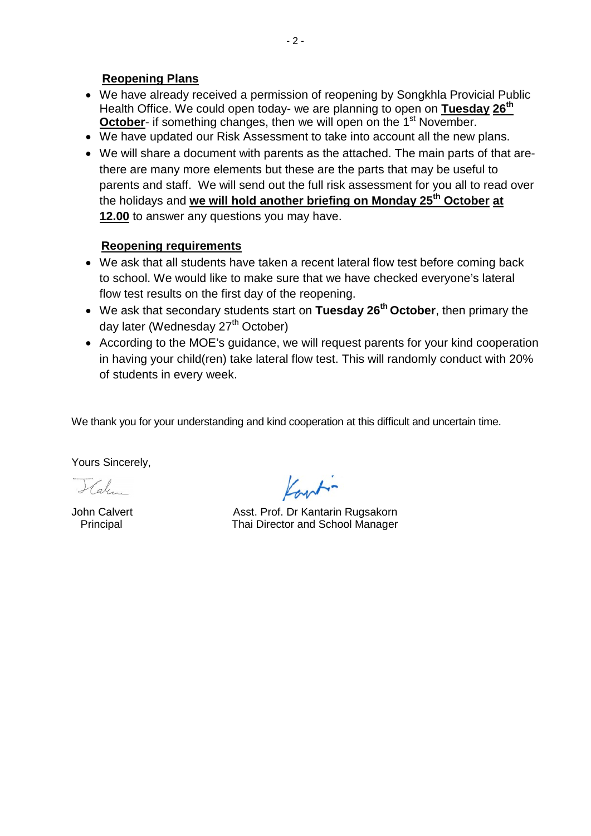#### **Reopening Plans**

- We have already received a permission of reopening by Songkhla Provicial Public Health Office. We could open today- we are planning to open on **Tuesday 26th October-** if something changes, then we will open on the 1<sup>st</sup> November.
- We have updated our Risk Assessment to take into account all the new plans.
- We will share a document with parents as the attached. The main parts of that arethere are many more elements but these are the parts that may be useful to parents and staff. We will send out the full risk assessment for you all to read over the holidays and **we will hold another briefing on Monday 25th October at 12.00** to answer any questions you may have.

#### **Reopening requirements**

- We ask that all students have taken a recent lateral flow test before coming back to school. We would like to make sure that we have checked everyone's lateral flow test results on the first day of the reopening.
- We ask that secondary students start on **Tuesday 26th October**, then primary the day later (Wednesday 27<sup>th</sup> October)
- According to the MOE's guidance, we will request parents for your kind cooperation in having your child(ren) take lateral flow test. This will randomly conduct with 20% of students in every week.

We thank you for your understanding and kind cooperation at this difficult and uncertain time.

Yours Sincerely,

 $\mathcal{H}_{\alpha}$ 

John Calvert **Asst. Prof. Dr Kantarin Rugsakorn** Principal Thai Director and School Manager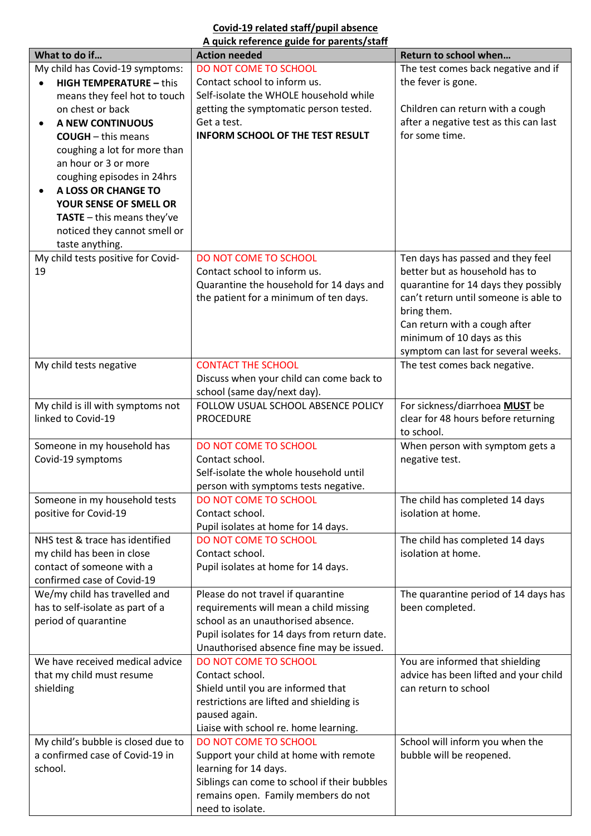#### **Covid-19 related staff/pupil absence A quick reference guide for parents/staff**

| What to do if                               | <b>Action needed</b>                                          | Return to school when                  |  |  |
|---------------------------------------------|---------------------------------------------------------------|----------------------------------------|--|--|
| My child has Covid-19 symptoms:             | DO NOT COME TO SCHOOL                                         | The test comes back negative and if    |  |  |
| <b>HIGH TEMPERATURE - this</b><br>$\bullet$ | Contact school to inform us.                                  | the fever is gone.                     |  |  |
| means they feel hot to touch                | Self-isolate the WHOLE household while                        |                                        |  |  |
| on chest or back                            | getting the symptomatic person tested.                        | Children can return with a cough       |  |  |
| <b>A NEW CONTINUOUS</b><br>$\bullet$        | Get a test.                                                   | after a negative test as this can last |  |  |
| <b>COUGH</b> - this means                   | <b>INFORM SCHOOL OF THE TEST RESULT</b>                       | for some time.                         |  |  |
| coughing a lot for more than                |                                                               |                                        |  |  |
| an hour or 3 or more                        |                                                               |                                        |  |  |
| coughing episodes in 24hrs                  |                                                               |                                        |  |  |
| A LOSS OR CHANGE TO                         |                                                               |                                        |  |  |
| YOUR SENSE OF SMELL OR                      |                                                               |                                        |  |  |
| <b>TASTE</b> $-$ this means they've         |                                                               |                                        |  |  |
| noticed they cannot smell or                |                                                               |                                        |  |  |
| taste anything.                             |                                                               |                                        |  |  |
| My child tests positive for Covid-          | DO NOT COME TO SCHOOL                                         | Ten days has passed and they feel      |  |  |
| 19                                          | Contact school to inform us.                                  | better but as household has to         |  |  |
|                                             | Quarantine the household for 14 days and                      | quarantine for 14 days they possibly   |  |  |
|                                             | the patient for a minimum of ten days.                        | can't return until someone is able to  |  |  |
|                                             |                                                               | bring them.                            |  |  |
|                                             |                                                               | Can return with a cough after          |  |  |
|                                             |                                                               | minimum of 10 days as this             |  |  |
|                                             |                                                               | symptom can last for several weeks.    |  |  |
| My child tests negative                     | <b>CONTACT THE SCHOOL</b>                                     | The test comes back negative.          |  |  |
|                                             | Discuss when your child can come back to                      |                                        |  |  |
|                                             | school (same day/next day).                                   |                                        |  |  |
| My child is ill with symptoms not           | FOLLOW USUAL SCHOOL ABSENCE POLICY                            | For sickness/diarrhoea MUST be         |  |  |
| linked to Covid-19                          | <b>PROCEDURE</b>                                              | clear for 48 hours before returning    |  |  |
|                                             |                                                               | to school.                             |  |  |
| Someone in my household has                 | DO NOT COME TO SCHOOL                                         | When person with symptom gets a        |  |  |
| Covid-19 symptoms                           | Contact school.                                               | negative test.                         |  |  |
|                                             | Self-isolate the whole household until                        |                                        |  |  |
| Someone in my household tests               | person with symptoms tests negative.<br>DO NOT COME TO SCHOOL | The child has completed 14 days        |  |  |
| positive for Covid-19                       | Contact school.                                               | isolation at home.                     |  |  |
|                                             | Pupil isolates at home for 14 days.                           |                                        |  |  |
| NHS test & trace has identified             | DO NOT COME TO SCHOOL                                         | The child has completed 14 days        |  |  |
| my child has been in close                  | Contact school.                                               | isolation at home.                     |  |  |
| contact of someone with a                   | Pupil isolates at home for 14 days.                           |                                        |  |  |
| confirmed case of Covid-19                  |                                                               |                                        |  |  |
| We/my child has travelled and               | Please do not travel if quarantine                            | The quarantine period of 14 days has   |  |  |
| has to self-isolate as part of a            | requirements will mean a child missing                        | been completed.                        |  |  |
| period of quarantine                        | school as an unauthorised absence.                            |                                        |  |  |
|                                             | Pupil isolates for 14 days from return date.                  |                                        |  |  |
|                                             | Unauthorised absence fine may be issued.                      |                                        |  |  |
| We have received medical advice             | DO NOT COME TO SCHOOL                                         | You are informed that shielding        |  |  |
| that my child must resume                   | Contact school.                                               | advice has been lifted and your child  |  |  |
| shielding                                   | Shield until you are informed that                            | can return to school                   |  |  |
|                                             | restrictions are lifted and shielding is                      |                                        |  |  |
|                                             | paused again.                                                 |                                        |  |  |
|                                             | Liaise with school re. home learning.                         |                                        |  |  |
| My child's bubble is closed due to          | DO NOT COME TO SCHOOL                                         | School will inform you when the        |  |  |
| a confirmed case of Covid-19 in             | Support your child at home with remote                        | bubble will be reopened.               |  |  |
| school.                                     | learning for 14 days.                                         |                                        |  |  |
|                                             | Siblings can come to school if their bubbles                  |                                        |  |  |
|                                             | remains open. Family members do not                           |                                        |  |  |
|                                             | need to isolate.                                              |                                        |  |  |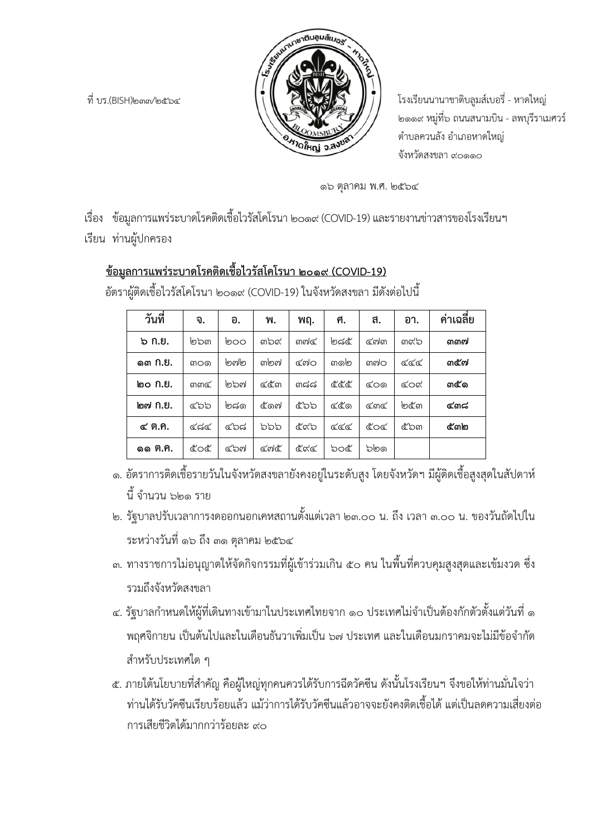

ที่ บร.(BISH)๒๓๓/๒๕๖๔ โรงเรียนนานาชาติบลูมสเบอรี่ - หาดใหญ ๒๑๑๙ หมูที่๖ ถนนสนามบิน - ลพบุรีราเมศวร ตําบลควนลัง อําเภอหาดใหญ จังหวัดสงขลา ๙๐๑๑๐

๑๖ ตุลาคม พ.ศ. ๒๕๖๔

เรื่อง ข้อมูลการแพร่ระบาดโรคติดเชื้อไวรัสโคโรนา ๒๐๑๙ (COVID-19) และรายงานข่าวสารของโรงเรียนฯ เรียน ทานผูปกครอง

# **ขอมูลการแพรระบาดโรคติดเชื้อไวรัสโคโรนา ๒๐๑๙ (COVID-19)**

| วันที่  | จ.        | อ.       | N.     | พฤ.   | ศ.   | ิส.   | อา.   | ค่าเฉลี่ย |
|---------|-----------|----------|--------|-------|------|-------|-------|-----------|
| ๖ ก.ย.  | ๒๖๓       | စ္ပြာဝ   | ണ്ട്   | ണ്യി  | ಅಡ೬  | ๔๗๓   | ണ്ട്ര | ഩഩഩ       |
| @ຓ Ո.Ս. | ள்கை      | စြက္ပါစြ | ଳାବ୍ଦା | ≪്രിറ | ഩ൭൏  | ണ്ഡിറ | ھھھ   | ഩ๕๗       |
| ๒๐ ก.ย. | ണഹ $\leq$ | ๒๖๗      | ๔๕๓    | ៣ಇಇ   | ଝଝଝ  | ඥ්රග  | ഭാഗ   | ຓ๕๑       |
| ๒๗ ก.ย. | ೯ನಿನಿ     | මක්ම     | ๕๑๗    | ๕๖๖   | ୯୯େଡ | ⊄ଲ๔   | ไต๕๊ต | ๔ണ്ട      |
| ๔ ต.ค.  | ೯ಡ೯       | ೯೨ಡ      | อออ    | ๕๙๖   | ھھھ  | ഭ്ഠഭ  | ๕๖๓   | ഭ്ണി      |
| ๑๑ ต.ค. | ഭ്ഠഭ്     | ഭാഖ      | ⊄ବାଝ   | ଝିଝି  | ರಿಂ೬ | වුමල  |       |           |

อัตราผูติดเชื้อไวรัสโคโรนา ๒๐๑๙ (COVID-19) ในจังหวัดสงขลา มีดังตอไปนี้

- ๑. อัตราการติดเชื้อรายวันในจังหวัดสงขลายังคงอยูในระดับสูง โดยจังหวัดฯ มีผูติดเชื้อสูงสุดในสัปดาห นี้จํานวน ๖๒๑ ราย
- ๒. รัฐบาลปรับเวลาการงดออกนอกเคหสถานตั้งแตเวลา ๒๓.๐๐ น. ถึง เวลา ๓.๐๐ น. ของวันถัดไปใน ระหวางวันที่ ๑๖ ถึง ๓๑ ตุลาคม ๒๕๖๔
- ๓. ทางราชการไมอนุญาตใหจัดกิจกรรมที่ผูเขารวมเกิน ๕๐ คน ในพื้นที่ควบคุมสูงสุดและเขมงวด ซึ่ง รวมถึงจังหวัดสงขลา
- ๔. รัฐบาลกำหนดให้ผู้ที่เดินทางเข้ามาในประเทศไทยจาก ๑๐ ประเทศไม่จำเป็นต้องกักตัวตั้งแต่วันที่ ๑ พฤศจิกายน เป็นต้นไปและในเดือนธันวาเพิ่มเป็น ๖๗ ประเทศ และในเดือนมกราคมจะไม่มีข้อจำกัด สําหรับประเทศใด ๆ
- ๕. ภายใตนโยบายที่สําคัญ คือผูใหญทุกคนควรไดรับการฉีดวัคซีน ดังนั้นโรงเรียนฯ จึงขอใหทานมั่นใจวา ท่านได้รับวัคซีนเรียบร้อยแล้ว แม้ว่าการได้รับวัคซีนแล้วอาจจะยังคงติดเชื้อได้ แต่เป็นลดความเสี่ยงต่อ การเสียชีวิตได้บากกว่าร้อยละ ๙๐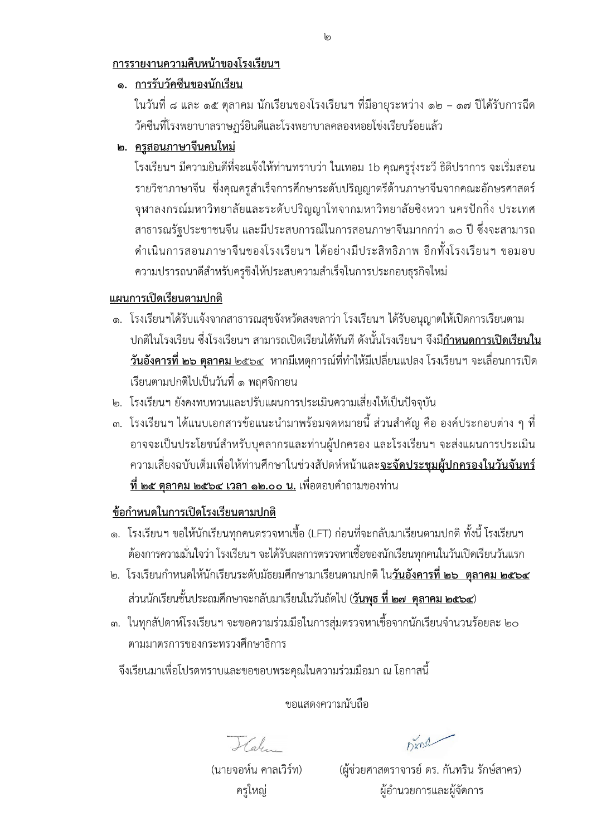## **การรายงานความคืบหนาของโรงเรียนฯ**

# **๑. การรับวัคซีนของนักเรียน**

ในวันที่ ๘ และ ๑๕ ตุลาคม นักเรียนของโรงเรียนฯ ที่มีอายุระหวาง ๑๒ – ๑๗ ปไดรับการฉีด วัคซีนที่โรงพยาบาลราษฎร์ยินดีและโรงพยาบาลคลองหอยโข่งเรียบร้อยแล้ว

## **๒. ครูสอนภาษาจีนคนใหม**

โรงเรียนฯ มีความยินดีที่จะแจงใหทานทราบวา ในเทอม 1b คุณครูรุงระวี ธิติปราการ จะเริ่มสอน รายวิชาภาษาจีน ซึ่งคุณครูสําเร็จการศึกษาระดับปริญญาตรีดานภาษาจีนจากคณะอักษรศาสตร จุฬาลงกรณมหาวิทยาลัยและระดับปริญญาโทจากมหาวิทยาลัยซิงหวา นครปกกิ่ง ประเทศ สาธารณรัฐประชาชนจีน และมีประสบการณ์ในการสอนภาษาจีนมากกว่า ๑๐ ปี ซึ่งจะสามารถ ดำเนินการสอนภาษาจีนของโรงเรียนฯ ได้อย่างมีประสิทธิภาพ อีกทั้งโรงเรียนฯ ขอมอบ ความปรารถนาดีสําหรับครูขิงใหประสบความสําเร็จในการประกอบธุรกิจใหม

### **แผนการเปดเรียนตามปกติ**

- ๑. โรงเรียนฯได้รับแจ้งจากสาธารณสุขจังหวัดสงขลาว่า โรงเรียนฯ ได้รับอนุญาตให้เปิดการเรียนตาม ปกติในโรงเรียน ซึ่งโรงเรียนฯ สามารถเปดเรียนไดทันทีดังนั้นโรงเรียนฯ จึงมี**กําหนดการเปดเรียนใน วันอังคารที่ ๒๖ ตุลาคม** ๒๕๖๔ หากมีเหตุการณที่ทําใหมีเปลี่ยนแปลง โรงเรียนฯ จะเลื่อนการเปด เรียนตามปกติไปเปนวันที่ ๑ พฤศจิกายน
- ๒. โรงเรียนฯ ยังคงทบทวนและปรับแผนการประเมินความเสี่ยงใหเปนปจจุบัน
- ึ ๓. โรงเรียนฯ ได้แนบเอกสารข้อแนะนำมาพร้อมจดหมายนี้ ส่วนสำคัญ คือ องค์ประกอบต่าง ๆ ที่ อาจจะเปนประโยชนสําหรับบุคลากรและทานผูปกครอง และโรงเรียนฯ จะสงแผนการประเมิน ความเสี่ยงฉบับเต็มเพื่อใหทานศึกษาในชวงสัปดหหนาและ**จะจัดประชุมผูปกครองในวันจันทร ที่ ๒๕ ตุลาคม ๒๕๖๔ เวลา ๑๒.๐๐ น.** เพื่อตอบคําถามของทาน

## **ขอกําหนดในการเปดโรงเรียนตามปกติ**

- ๑. โรงเรียนฯ ขอให้นักเรียนทุกคนตรวจหาเชื้อ (LFT) ก่อนที่จะกลับมาเรียนตามปกติ ทั้งนี้ โรงเรียนฯ ต้องการความมั่นใจว่า โรงเรียนฯ จะได้รับผลการตรวจหาเชื้อของนักเรียนทุกคนในวันเปิดเรียนวันแรก
- ๒. โรงเรียนกําหนดใหนักเรียนระดับมัธยมศึกษามาเรียนตามปกติ ใน**วันอังคารที่ ๒๖ ตุลาคม ๒๕๖๔** สวนนักเรียนชั้นประถมศึกษาจะกลับมาเรียนในวันถัดไป (**วันพุธ ที่ ๒๗ ตุลาคม ๒๕๖๔**)
- ๓. ในทุกสัปดาหโรงเรียนฯ จะขอความรวมมือในการสุมตรวจหาเชื้อจากนักเรียนจํานวนรอยละ ๒๐ ตามมาตรการของกระทรวงศึกษาธิการ

จึงเรียนมาเพื่อโปรดทราบและขอขอบพระคุณในความรวมมือมา ณ โอกาสนี้

ขอแสดงความนับถือ

 $H_{ab}$ 

Dinst

 (นายจอหน คาลเวิรท) (ผูชวยศาสตราจารย ดร. กันทริน รักษสาคร) ครูใหญ่ ผู้อำนวยการและผู้จัดการ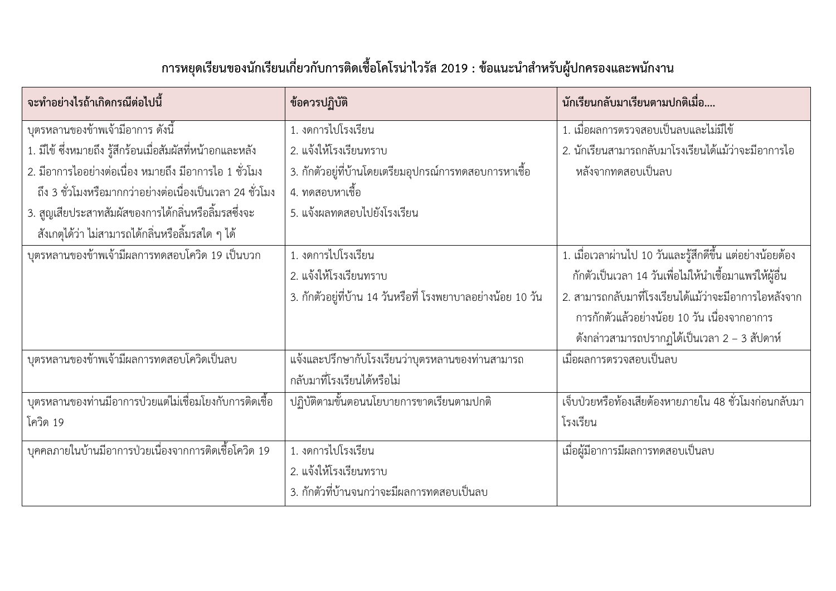| การหยุดเรียนของนักเรียนเกี่ยวกับการติดเชื้อโคโรน่าไวรัส 2019 : ข้อแนะนำสำหรับผู้ปกครองและพนักงาา |
|--------------------------------------------------------------------------------------------------|
|--------------------------------------------------------------------------------------------------|

| ้จะทำอย่างไรถ้าเกิดกรณีต่อไปนี้                                | ข้อควรปฏิบัติ                                                  | นักเรียนกลับมาเรียนตามปกติเมื่อ                                  |  |
|----------------------------------------------------------------|----------------------------------------------------------------|------------------------------------------------------------------|--|
| ้บุตรหลานของข้าพเจ้ามีอาการ ดังนี้                             | 1. งดการไปโรงเรียน                                             | 1. เมื่อผลการตรวจสอบเป็นลบและไม่มีไข้                            |  |
| 1. มีไข้ ซึ่งหมายถึง รู้สึกร้อนเมื่อสัมผัสที่หน้าอกและหลัง     | 2. แจ้งให้โรงเรียนทราบ                                         | 2. นักเรียนสามารถกลับมาโรงเรียนได้แม้ว่าจะมีอาการไอ              |  |
| 2. มีอาการไออย่างต่อเนื่อง หมายถึง มีอาการไอ 1 ชั่วโมง         | ่ 3. กักตัวอยู่ที่บ้านโดยเตรียมอุปกรณ์การทดสอบการหาเชื้อ       | หลังจากทดสอบเป็นลบ                                               |  |
| ้ถึง 3 ชั่วโมงหรือมากกว่าอย่างต่อเนื่องเป็นเวลา 24 ชั่วโมง     | 4. ทดสอบหาเชื้อ                                                |                                                                  |  |
| ่ 3. สูญเสียประสาทสัมผัสของการได้กลิ่นหรือลิ้มรสซึ่งจะ         | 5. แจ้งผลทดสอบไปยังโรงเรียน                                    |                                                                  |  |
| ้สังเกตุได้ว่า ไม่สามารถได้กลิ่นหรือลิ้มรสใด ๆ ได้             |                                                                |                                                                  |  |
| บุตรหลานของข้าพเจ้ามีผลการทดสอบโควิด 19 เป็นบวก                | 1. งดการไปโรงเรียน                                             | 1. เมื่อเวลาผ่านไป 10 วันและรู้สึกดีขึ้น แต่อย่างน้อยต้อง        |  |
|                                                                | 2. แจ้งให้โรงเรียนทราบ                                         | ้กักตัวเป็นเวลา 14 วันเพื่อไม่ให้นำเชื้อมาแพร่ให้ผู้อื่น         |  |
|                                                                | ่ 3. กักตัวอยู่ที่บ้าน 14 วันหรือที่ โรงพยาบาลอย่างน้อย 10 วัน | 2. สามารถกลับมาที่โรงเรียนได้แม้ว่าจะมีอาการไอหลังจาก            |  |
|                                                                |                                                                | การกักตัวแล้วอย่างน้อย 10 วัน เนื่องจากอาการ                     |  |
|                                                                |                                                                | ดังกล่าวสามารถปรากฏได้เป็นเวลา 2 – 3 สัปดาห์                     |  |
| บุตรหลานของข้าพเจ้ามีผลการทดสอบโควิดเป็นลบ                     | แจ้งและปรึกษากับโรงเรียนว่าบุตรหลานของท่านสามารถ               | เมื่อผลการตรวจสอบเป็นลบ                                          |  |
|                                                                | กลับมาที่โรงเรียนได้หรือไม่                                    |                                                                  |  |
| <u>บุตรหลานของท่านมีอาการป่วยแต่ไม่เชื่อมโยงกับการติดเชื้อ</u> | ปฏิบัติตามขั้นตอนนโยบายการขาดเรียนตามปกติ                      | <u>ี้ เจ็บป่วยหรือท้องเสี</u> ยต้องหายภายใน 48 ชั่วโมงก่อนกลับมา |  |
| โควิด 19                                                       |                                                                | โรงเรียน                                                         |  |
| ี บุคคลภายในบ้านมีอาการป่วยเนื่องจากการติดเชื้อโควิด 19        | 1. งดการไปโรงเรียน                                             | เมื่อผู้มีอาการมีผลการทดสอบเป็นลบ                                |  |
|                                                                | 2. แจ้งให้โรงเรียนทราบ                                         |                                                                  |  |
|                                                                | 3. กักตัวที่บ้านจนกว่าจะมีผลการทดสอบเป็นลบ                     |                                                                  |  |